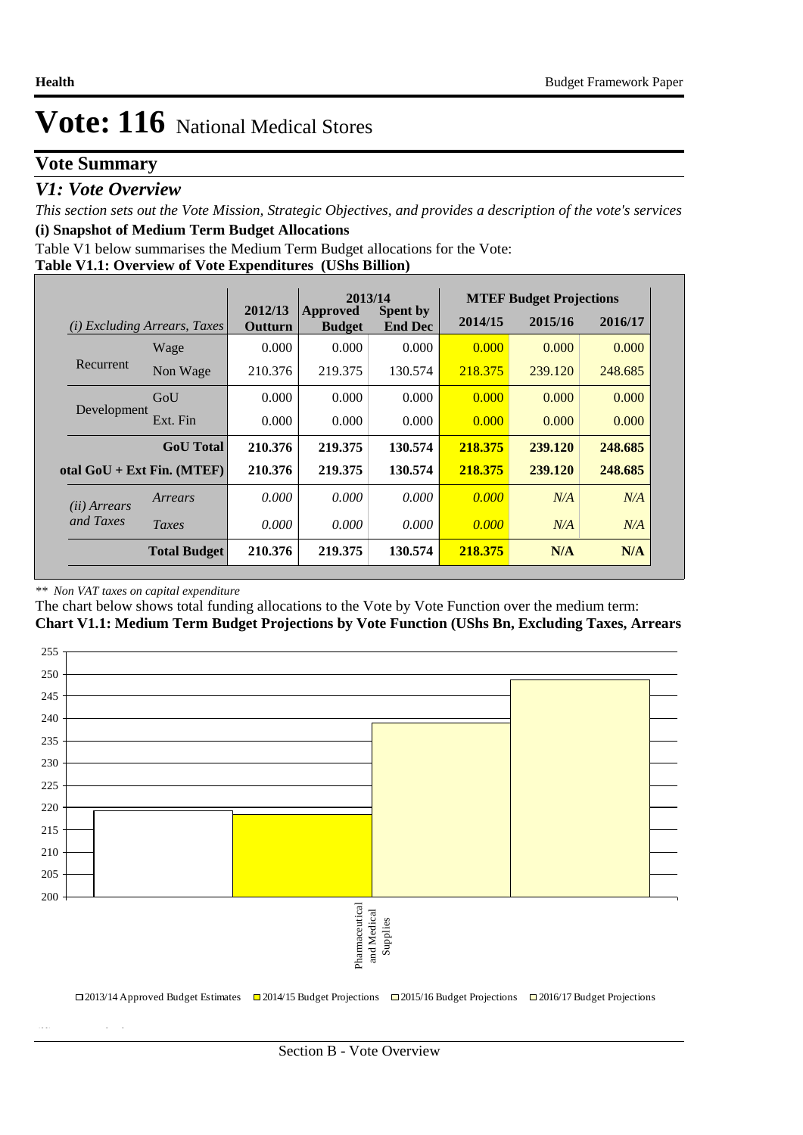### **Vote Summary**

### *V1: Vote Overview*

*This section sets out the Vote Mission, Strategic Objectives, and provides a description of the vote's services* **(i) Snapshot of Medium Term Budget Allocations** 

Table V1 below summarises the Medium Term Budget allocations for the Vote:

|  | Table V1.1: Overview of Vote Expenditures (UShs Billion) |  |
|--|----------------------------------------------------------|--|
|  |                                                          |  |

|                       |                                 | 2013/14<br>2012/13<br><b>Spent by</b><br>Approved |               |                | <b>MTEF Budget Projections</b> |         |         |  |  |
|-----------------------|---------------------------------|---------------------------------------------------|---------------|----------------|--------------------------------|---------|---------|--|--|
| (i)                   | <b>Excluding Arrears, Taxes</b> | Outturn                                           | <b>Budget</b> | <b>End Dec</b> | 2014/15                        | 2015/16 | 2016/17 |  |  |
|                       | Wage                            | 0.000                                             | 0.000         | 0.000          | 0.000                          | 0.000   | 0.000   |  |  |
| Recurrent             | Non Wage                        | 210.376                                           | 219.375       | 130.574        | 218.375                        | 239.120 | 248.685 |  |  |
|                       | GoU                             | 0.000                                             | 0.000         | 0.000          | 0.000                          | 0.000   | 0.000   |  |  |
| Development           | Ext. Fin                        | 0.000                                             | 0.000         | 0.000          | 0.000                          | 0.000   | 0.000   |  |  |
|                       | <b>GoU</b> Total                | 210.376                                           | 219.375       | 130.574        | 218.375                        | 239.120 | 248.685 |  |  |
|                       | otal $GoU + Ext Fin. (MTEF)$    | 210.376                                           | 219.375       | 130.574        | 218.375                        | 239.120 | 248.685 |  |  |
| ( <i>ii</i> ) Arrears | Arrears                         | 0.000                                             | 0.000         | 0.000          | 0.000                          | N/A     | N/A     |  |  |
| and Taxes             | Taxes                           | 0.000                                             | 0.000         | 0.000          | 0.000                          | N/A     | N/A     |  |  |
|                       | <b>Total Budget</b>             | 210.376                                           | 219.375       | 130.574        | 218.375                        | N/A     | N/A     |  |  |

#### *\*\* Non VAT taxes on capital expenditure*

**(ii) Vote Mission Statement**

The chart below shows total funding allocations to the Vote by Vote Function over the medium term:

**Chart V1.1: Medium Term Budget Projections by Vote Function (UShs Bn, Excluding Taxes, Arrears**

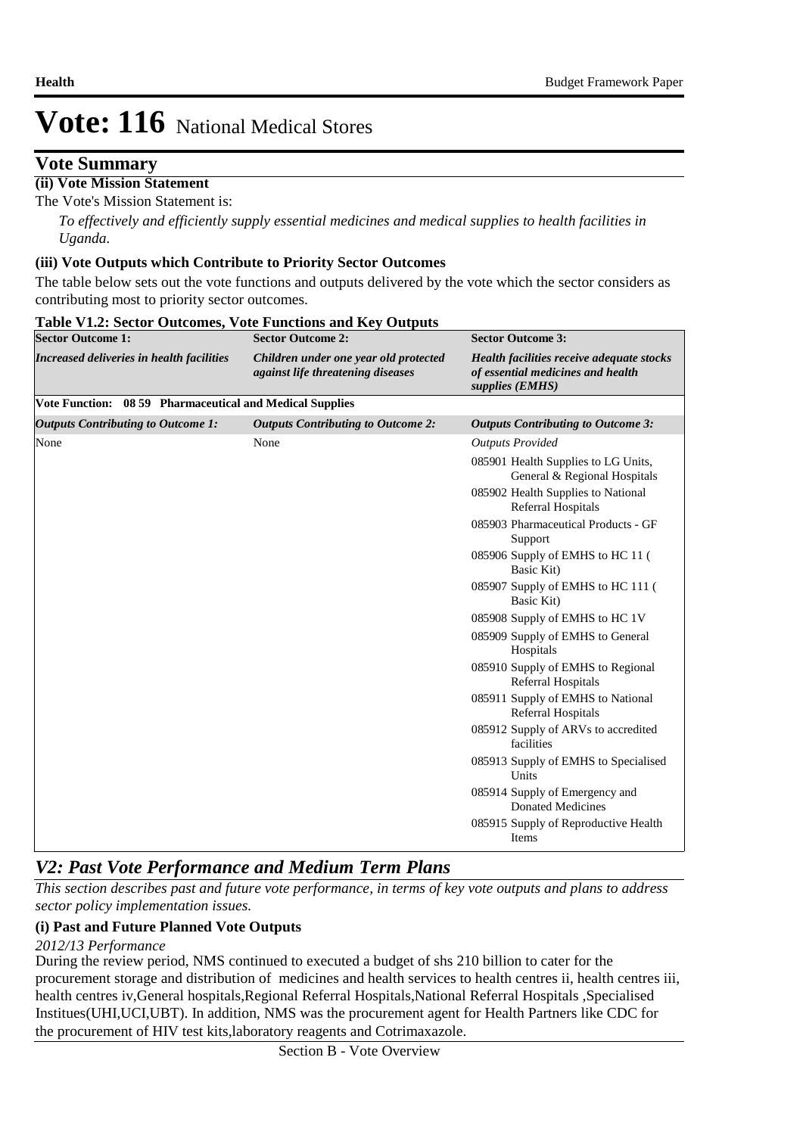### **Vote Summary**

#### **(ii) Vote Mission Statement**

The Vote's Mission Statement is:

*To effectively and efficiently supply essential medicines and medical supplies to health facilities in Uganda.*

#### **(iii) Vote Outputs which Contribute to Priority Sector Outcomes**

The table below sets out the vote functions and outputs delivered by the vote which the sector considers as contributing most to priority sector outcomes.

| <b>Sector Outcome 1:</b>                                 | <b>Sector Outcome 2:</b>                                                   | <b>Sector Outcome 3:</b>                                                                          |
|----------------------------------------------------------|----------------------------------------------------------------------------|---------------------------------------------------------------------------------------------------|
| Increased deliveries in health facilities                | Children under one year old protected<br>against life threatening diseases | Health facilities receive adequate stocks<br>of essential medicines and health<br>supplies (EMHS) |
| Vote Function: 08 59 Pharmaceutical and Medical Supplies |                                                                            |                                                                                                   |
| <b>Outputs Contributing to Outcome 1:</b>                | <b>Outputs Contributing to Outcome 2:</b>                                  | <b>Outputs Contributing to Outcome 3:</b>                                                         |
| None                                                     | None                                                                       | <b>Outputs Provided</b>                                                                           |
|                                                          |                                                                            | 085901 Health Supplies to LG Units,<br>General & Regional Hospitals                               |
|                                                          |                                                                            | 085902 Health Supplies to National<br>Referral Hospitals                                          |
|                                                          |                                                                            | 085903 Pharmaceutical Products - GF<br>Support                                                    |
|                                                          |                                                                            | 085906 Supply of EMHS to HC 11 (<br>Basic Kit)                                                    |
|                                                          | Basic Kit)                                                                 | 085907 Supply of EMHS to HC 111 (                                                                 |
|                                                          |                                                                            | 085908 Supply of EMHS to HC 1V                                                                    |
|                                                          |                                                                            | 085909 Supply of EMHS to General<br>Hospitals                                                     |
|                                                          |                                                                            | 085910 Supply of EMHS to Regional<br>Referral Hospitals                                           |
|                                                          |                                                                            | 085911 Supply of EMHS to National<br>Referral Hospitals                                           |
|                                                          |                                                                            | 085912 Supply of ARVs to accredited<br>facilities                                                 |
|                                                          |                                                                            | 085913 Supply of EMHS to Specialised<br>Units                                                     |
|                                                          |                                                                            | 085914 Supply of Emergency and<br><b>Donated Medicines</b>                                        |
|                                                          |                                                                            | 085915 Supply of Reproductive Health<br>Items                                                     |

#### **Table V1.2: Sector Outcomes, Vote Functions and Key Outputs**

### *V2: Past Vote Performance and Medium Term Plans*

*This section describes past and future vote performance, in terms of key vote outputs and plans to address sector policy implementation issues.* 

#### **(i) Past and Future Planned Vote Outputs**

*2012/13 Performance*

During the review period, NMS continued to executed a budget of shs 210 billion to cater for the procurement storage and distribution of medicines and health services to health centres ii, health centres iii, health centres iv,General hospitals,Regional Referral Hospitals,National Referral Hospitals ,Specialised Institues(UHI,UCI,UBT). In addition, NMS was the procurement agent for Health Partners like CDC for the procurement of HIV test kits,laboratory reagents and Cotrimaxazole.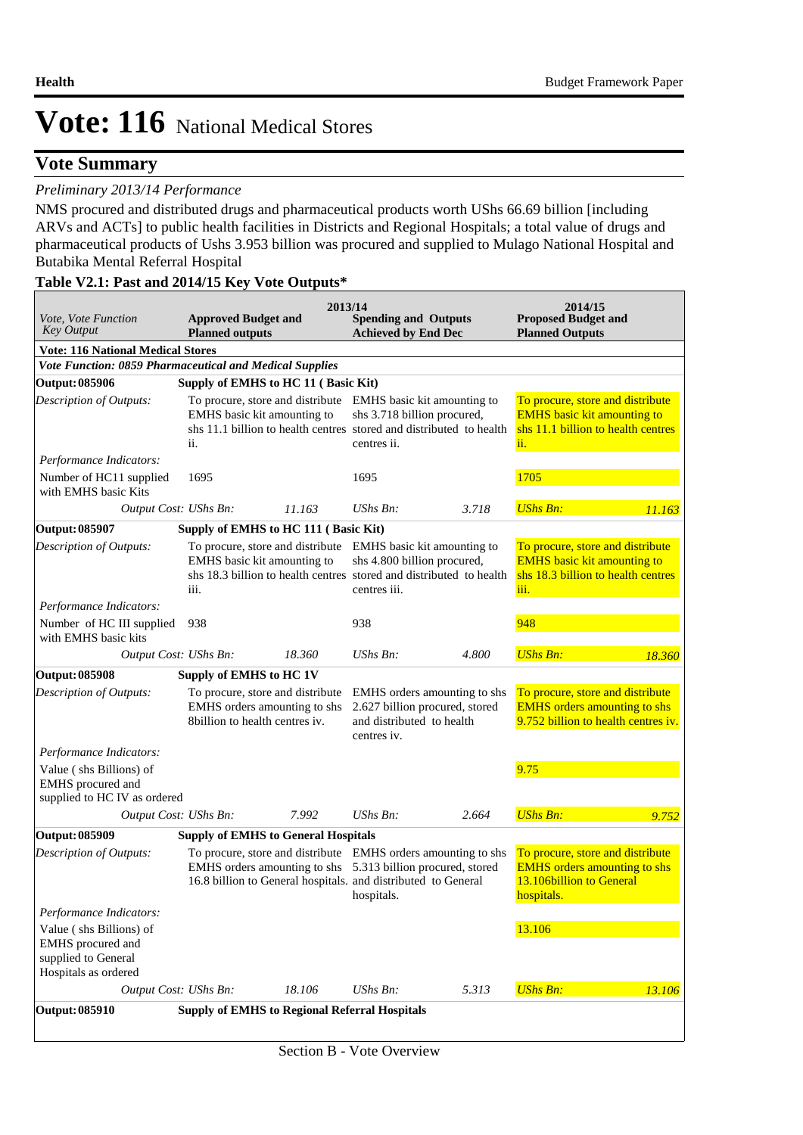### **Vote Summary**

#### *Preliminary 2013/14 Performance*

NMS procured and distributed drugs and pharmaceutical products worth UShs 66.69 billion [including ARVs and ACTs] to public health facilities in Districts and Regional Hospitals; a total value of drugs and pharmaceutical products of Ushs 3.953 billion was procured and supplied to Mulago National Hospital and Butabika Mental Referral Hospital

#### **Table V2.1: Past and 2014/15 Key Vote Outputs\***

| <i>Vote, Vote Function</i><br><b>Key Output</b>                                             | <b>Approved Budget and</b><br><b>Planned outputs</b> | 2013/14                                                                                                                      | <b>Spending and Outputs</b><br><b>Achieved by End Dec</b>                                                                                                                         |                                                                     | 2014/15<br><b>Proposed Budget and</b><br><b>Planned Outputs</b>                                                      |        |
|---------------------------------------------------------------------------------------------|------------------------------------------------------|------------------------------------------------------------------------------------------------------------------------------|-----------------------------------------------------------------------------------------------------------------------------------------------------------------------------------|---------------------------------------------------------------------|----------------------------------------------------------------------------------------------------------------------|--------|
| <b>Vote: 116 National Medical Stores</b>                                                    |                                                      |                                                                                                                              |                                                                                                                                                                                   |                                                                     |                                                                                                                      |        |
| Vote Function: 0859 Pharmaceutical and Medical Supplies                                     |                                                      |                                                                                                                              |                                                                                                                                                                                   |                                                                     |                                                                                                                      |        |
| Output: 085906                                                                              | Supply of EMHS to HC 11 (Basic Kit)                  |                                                                                                                              |                                                                                                                                                                                   |                                                                     |                                                                                                                      |        |
| Description of Outputs:                                                                     | EMHS basic kit amounting to<br>ii.                   |                                                                                                                              | To procure, store and distribute EMHS basic kit amounting to<br>shs 3.718 billion procured,<br>shs 11.1 billion to health centres stored and distributed to health<br>centres ii. |                                                                     | To procure, store and distribute<br><b>EMHS</b> basic kit amounting to<br>shs 11.1 billion to health centres<br>ii.  |        |
| Performance Indicators:                                                                     |                                                      |                                                                                                                              |                                                                                                                                                                                   |                                                                     |                                                                                                                      |        |
| Number of HC11 supplied<br>with EMHS basic Kits                                             | 1695                                                 |                                                                                                                              | 1695                                                                                                                                                                              |                                                                     | 1705                                                                                                                 |        |
| Output Cost: UShs Bn:                                                                       |                                                      | 11.163                                                                                                                       | UShs Bn:                                                                                                                                                                          | 3.718                                                               | <b>UShs Bn:</b>                                                                                                      | 11.163 |
| <b>Output: 085907</b>                                                                       | Supply of EMHS to HC 111 (Basic Kit)                 |                                                                                                                              |                                                                                                                                                                                   |                                                                     |                                                                                                                      |        |
| Description of Outputs:                                                                     | EMHS basic kit amounting to<br>iii.                  | To procure, store and distribute EMHS basic kit amounting to                                                                 | shs 4.800 billion procured,<br>centres iii.                                                                                                                                       | shs 18.3 billion to health centres stored and distributed to health | To procure, store and distribute<br><b>EMHS</b> basic kit amounting to<br>shs 18.3 billion to health centres<br>iii. |        |
| Performance Indicators:                                                                     |                                                      |                                                                                                                              |                                                                                                                                                                                   |                                                                     |                                                                                                                      |        |
| Number of HC III supplied<br>with EMHS basic kits                                           | 938                                                  |                                                                                                                              | 938                                                                                                                                                                               |                                                                     | 948                                                                                                                  |        |
| Output Cost: UShs Bn:                                                                       |                                                      | 18.360                                                                                                                       | UShs Bn:                                                                                                                                                                          | 4.800                                                               | <b>UShs Bn:</b>                                                                                                      | 18.360 |
| <b>Output: 085908</b>                                                                       | Supply of EMHS to HC 1V                              |                                                                                                                              |                                                                                                                                                                                   |                                                                     |                                                                                                                      |        |
| Description of Outputs:                                                                     | 8billion to health centres iv.                       | To procure, store and distribute<br>EMHS orders amounting to shs                                                             | and distributed to health<br>centres iv.                                                                                                                                          | EMHS orders amounting to shs<br>2.627 billion procured, stored      | To procure, store and distribute<br><b>EMHS</b> orders amounting to shs<br>9.752 billion to health centres iv.       |        |
| Performance Indicators:                                                                     |                                                      |                                                                                                                              |                                                                                                                                                                                   |                                                                     |                                                                                                                      |        |
| Value (shs Billions) of<br>EMHS procured and<br>supplied to HC IV as ordered                |                                                      |                                                                                                                              |                                                                                                                                                                                   |                                                                     | 9.75                                                                                                                 |        |
| Output Cost: UShs Bn:                                                                       |                                                      | 7.992                                                                                                                        | $UShs Bn$ :                                                                                                                                                                       | 2.664                                                               | <b>UShs Bn:</b>                                                                                                      | 9.752  |
| <b>Output: 085909</b>                                                                       | <b>Supply of EMHS to General Hospitals</b>           |                                                                                                                              |                                                                                                                                                                                   |                                                                     |                                                                                                                      |        |
| Description of Outputs:                                                                     |                                                      | EMHS orders amounting to shs 5.313 billion procured, stored<br>16.8 billion to General hospitals. and distributed to General | hospitals.                                                                                                                                                                        | To procure, store and distribute EMHS orders amounting to shs       | To procure, store and distribute<br><b>EMHS</b> orders amounting to shs<br>13.106billion to General<br>hospitals.    |        |
| Performance Indicators:                                                                     |                                                      |                                                                                                                              |                                                                                                                                                                                   |                                                                     |                                                                                                                      |        |
| Value (shs Billions) of<br>EMHS procured and<br>supplied to General<br>Hospitals as ordered |                                                      |                                                                                                                              |                                                                                                                                                                                   |                                                                     | 13.106                                                                                                               |        |
| Output Cost: UShs Bn:                                                                       |                                                      | 18.106                                                                                                                       | UShs Bn:                                                                                                                                                                          | 5.313                                                               | <b>UShs Bn:</b>                                                                                                      | 13.106 |
| Output: 085910                                                                              | <b>Supply of EMHS to Regional Referral Hospitals</b> |                                                                                                                              |                                                                                                                                                                                   |                                                                     |                                                                                                                      |        |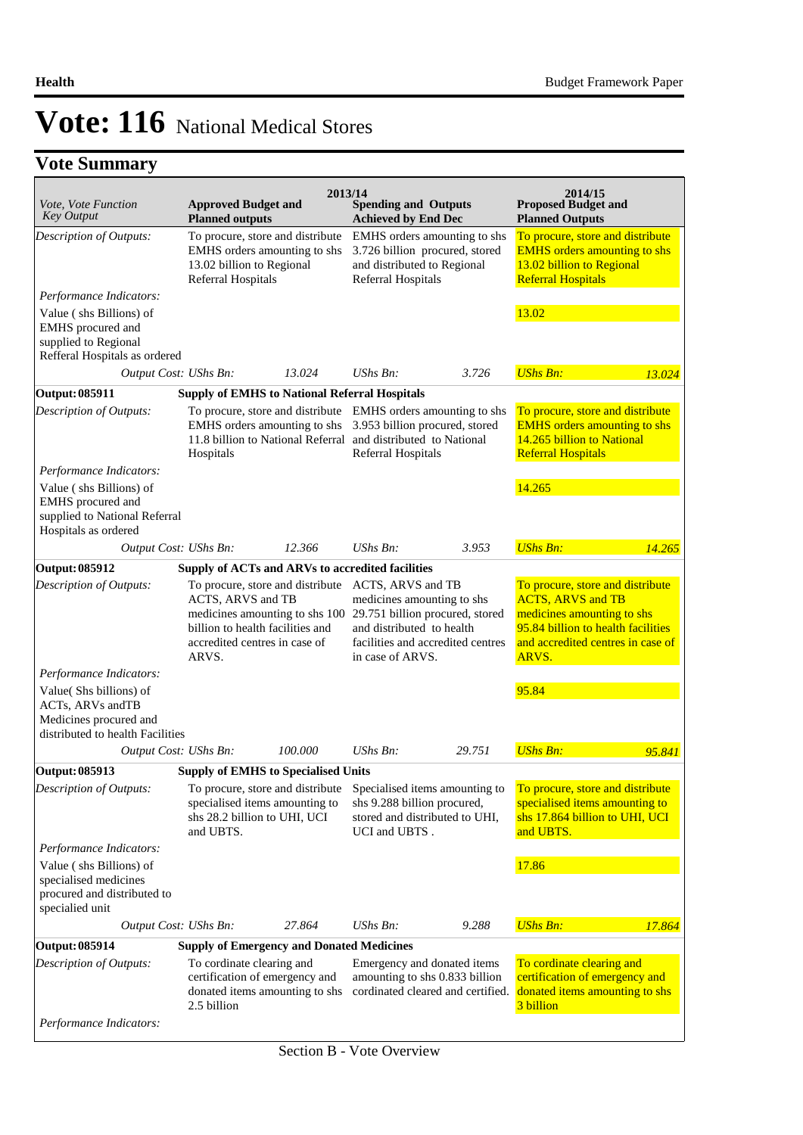## **Vote Summary**

| Vote, Vote Function<br><b>Key Output</b>                                                                                                                                                                                         | <b>Approved Budget and</b><br><b>Planned outputs</b>                                                                | 2013/14 | <b>Spending and Outputs</b><br><b>Achieved by End Dec</b>                                                                                                                              |        | 2014/15<br><b>Proposed Budget and</b><br><b>Planned Outputs</b>                                                                                                                |        |  |
|----------------------------------------------------------------------------------------------------------------------------------------------------------------------------------------------------------------------------------|---------------------------------------------------------------------------------------------------------------------|---------|----------------------------------------------------------------------------------------------------------------------------------------------------------------------------------------|--------|--------------------------------------------------------------------------------------------------------------------------------------------------------------------------------|--------|--|
| Description of Outputs:                                                                                                                                                                                                          | To procure, store and distribute<br>EMHS orders amounting to shs<br>13.02 billion to Regional<br>Referral Hospitals |         | EMHS orders amounting to shs<br>3.726 billion procured, stored<br>and distributed to Regional<br>Referral Hospitals                                                                    |        | To procure, store and distribute<br><b>EMHS</b> orders amounting to shs<br>13.02 billion to Regional<br><b>Referral Hospitals</b>                                              |        |  |
| Performance Indicators:                                                                                                                                                                                                          |                                                                                                                     |         |                                                                                                                                                                                        |        |                                                                                                                                                                                |        |  |
| Value (shs Billions) of<br>EMHS procured and<br>supplied to Regional<br>Refferal Hospitals as ordered                                                                                                                            |                                                                                                                     |         |                                                                                                                                                                                        |        | 13.02                                                                                                                                                                          |        |  |
| Output Cost: UShs Bn:                                                                                                                                                                                                            |                                                                                                                     | 13.024  | $UShs Bn$ :                                                                                                                                                                            | 3.726  | <b>UShs Bn:</b>                                                                                                                                                                | 13.024 |  |
| Output: 085911                                                                                                                                                                                                                   | <b>Supply of EMHS to National Referral Hospitals</b>                                                                |         |                                                                                                                                                                                        |        |                                                                                                                                                                                |        |  |
| Description of Outputs:                                                                                                                                                                                                          | EMHS orders amounting to shs<br>Hospitals                                                                           |         | To procure, store and distribute EMHS orders amounting to shs<br>3.953 billion procured, stored<br>11.8 billion to National Referral and distributed to National<br>Referral Hospitals |        | To procure, store and distribute<br><b>EMHS</b> orders amounting to shs<br>14.265 billion to National<br><b>Referral Hospitals</b>                                             |        |  |
| Performance Indicators:                                                                                                                                                                                                          |                                                                                                                     |         |                                                                                                                                                                                        |        |                                                                                                                                                                                |        |  |
| Value (shs Billions) of<br>EMHS procured and<br>supplied to National Referral<br>Hospitals as ordered                                                                                                                            |                                                                                                                     |         |                                                                                                                                                                                        |        | 14.265                                                                                                                                                                         |        |  |
| Output Cost: UShs Bn:                                                                                                                                                                                                            |                                                                                                                     | 12.366  | $UShs Bn$ :                                                                                                                                                                            | 3.953  | <b>UShs Bn:</b>                                                                                                                                                                | 14.265 |  |
| Output: 085912                                                                                                                                                                                                                   | Supply of ACTs and ARVs to accredited facilities                                                                    |         |                                                                                                                                                                                        |        |                                                                                                                                                                                |        |  |
| Description of Outputs:<br>To procure, store and distribute<br>ACTS, ARVS and TB<br>medicines amounting to shs 100 29.751 billion procured, stored<br>billion to health facilities and<br>accredited centres in case of<br>ARVS. |                                                                                                                     |         | ACTS, ARVS and TB<br>medicines amounting to shs<br>and distributed to health<br>facilities and accredited centres<br>in case of ARVS.                                                  |        | To procure, store and distribute<br><b>ACTS, ARVS and TB</b><br>medicines amounting to shs<br>95.84 billion to health facilities<br>and accredited centres in case of<br>ARVS. |        |  |
| Performance Indicators:                                                                                                                                                                                                          |                                                                                                                     |         |                                                                                                                                                                                        |        |                                                                                                                                                                                |        |  |
| Value(Shs billions) of<br>ACTs, ARVs andTB<br>Medicines procured and<br>distributed to health Facilities                                                                                                                         |                                                                                                                     |         |                                                                                                                                                                                        |        | 95.84                                                                                                                                                                          |        |  |
| Output Cost: UShs Bn:                                                                                                                                                                                                            |                                                                                                                     | 100,000 | $UShs Bn$ :                                                                                                                                                                            | 29.751 | <b>UShs Bn:</b>                                                                                                                                                                | 95.841 |  |
| <b>Output: 085913</b>                                                                                                                                                                                                            | <b>Supply of EMHS to Specialised Units</b>                                                                          |         |                                                                                                                                                                                        |        |                                                                                                                                                                                |        |  |
| Description of Outputs:                                                                                                                                                                                                          | To procure, store and distribute<br>specialised items amounting to<br>shs 28.2 billion to UHI, UCI<br>and UBTS.     |         | Specialised items amounting to<br>shs 9.288 billion procured,<br>stored and distributed to UHI,<br>UCI and UBTS.                                                                       |        | To procure, store and distribute<br>specialised items amounting to<br>shs 17.864 billion to UHI, UCI<br>and UBTS.                                                              |        |  |
| Performance Indicators:                                                                                                                                                                                                          |                                                                                                                     |         |                                                                                                                                                                                        |        |                                                                                                                                                                                |        |  |
| Value (shs Billions) of<br>specialised medicines<br>procured and distributed to<br>specialied unit                                                                                                                               |                                                                                                                     |         |                                                                                                                                                                                        |        | 17.86                                                                                                                                                                          |        |  |
| Output Cost: UShs Bn:                                                                                                                                                                                                            |                                                                                                                     | 27.864  | UShs Bn:                                                                                                                                                                               | 9.288  | <b>UShs Bn:</b>                                                                                                                                                                | 17.864 |  |
| <b>Output: 085914</b>                                                                                                                                                                                                            | <b>Supply of Emergency and Donated Medicines</b>                                                                    |         |                                                                                                                                                                                        |        |                                                                                                                                                                                |        |  |
| Description of Outputs:<br>Performance Indicators:                                                                                                                                                                               | To cordinate clearing and<br>certification of emergency and<br>donated items amounting to shs<br>2.5 billion        |         | Emergency and donated items<br>amounting to shs 0.833 billion<br>cordinated cleared and certified.                                                                                     |        | To cordinate clearing and<br>certification of emergency and<br>donated items amounting to shs<br>3 billion                                                                     |        |  |
|                                                                                                                                                                                                                                  |                                                                                                                     |         |                                                                                                                                                                                        |        |                                                                                                                                                                                |        |  |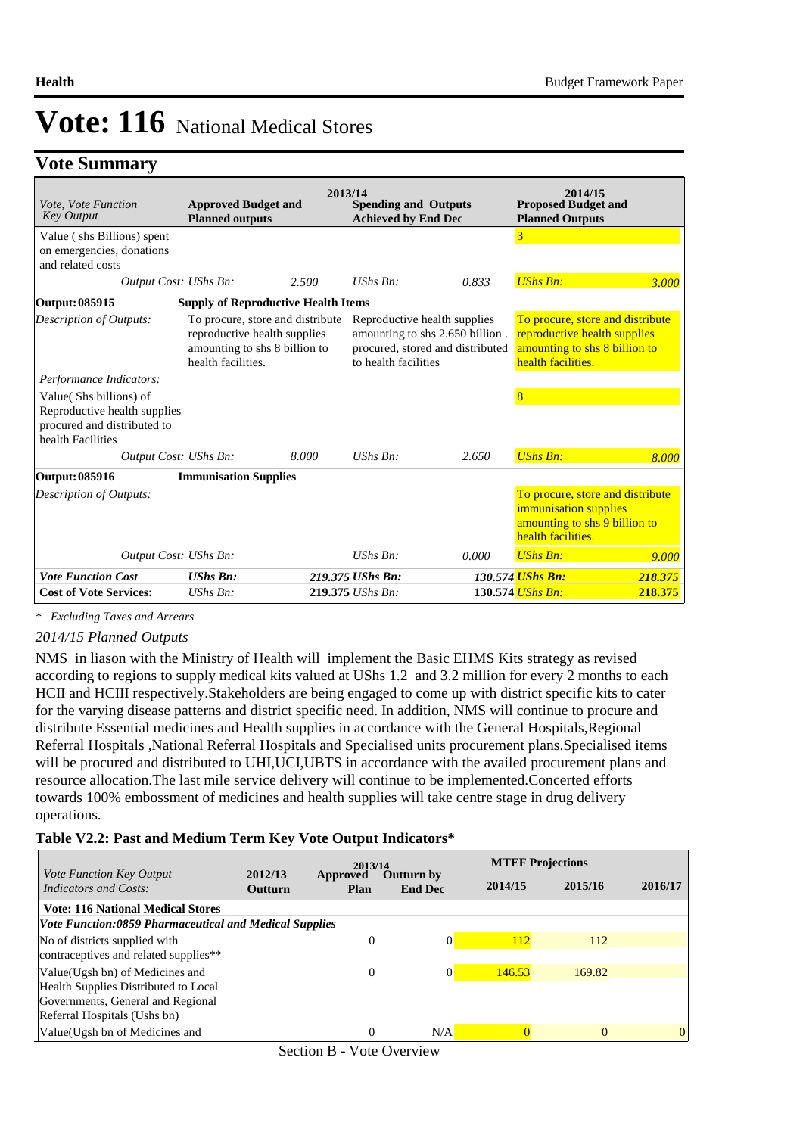### **Vote Summary**

| <i>Vote. Vote Function</i><br><b>Key Output</b>                                                            | <b>Approved Budget and</b><br><b>Planned outputs</b>                                                                    | 2013/14 | <b>Spending and Outputs</b><br><b>Achieved by End Dec</b>                                                                   |       | 2014/15<br><b>Proposed Budget and</b><br><b>Planned Outputs</b>                                                         |         |
|------------------------------------------------------------------------------------------------------------|-------------------------------------------------------------------------------------------------------------------------|---------|-----------------------------------------------------------------------------------------------------------------------------|-------|-------------------------------------------------------------------------------------------------------------------------|---------|
| Value (shs Billions) spent<br>on emergencies, donations<br>and related costs                               |                                                                                                                         |         |                                                                                                                             |       | 3                                                                                                                       |         |
| Output Cost: UShs Bn:                                                                                      |                                                                                                                         | 2.500   | $UShs Bn$ .                                                                                                                 | 0.833 | <b>UShs Bn:</b>                                                                                                         | 3.000   |
| Output: 085915                                                                                             | <b>Supply of Reproductive Health Items</b>                                                                              |         |                                                                                                                             |       |                                                                                                                         |         |
| Description of Outputs:                                                                                    | To procure, store and distribute<br>reproductive health supplies<br>amounting to shs 8 billion to<br>health facilities. |         | Reproductive health supplies<br>amounting to shs 2.650 billion.<br>procured, stored and distributed<br>to health facilities |       | To procure, store and distribute<br>reproductive health supplies<br>amounting to shs 8 billion to<br>health facilities. |         |
| Performance Indicators:                                                                                    |                                                                                                                         |         |                                                                                                                             |       |                                                                                                                         |         |
| Value(Shs billions) of<br>Reproductive health supplies<br>procured and distributed to<br>health Facilities |                                                                                                                         |         |                                                                                                                             |       | 8                                                                                                                       |         |
| Output Cost: UShs Bn:                                                                                      |                                                                                                                         | 8.000   | $UShs Bn$ :                                                                                                                 | 2.650 | <b>UShs Bn:</b>                                                                                                         | 8.000   |
| Output: 085916                                                                                             | <b>Immunisation Supplies</b>                                                                                            |         |                                                                                                                             |       |                                                                                                                         |         |
| Description of Outputs:                                                                                    |                                                                                                                         |         |                                                                                                                             |       | To procure, store and distribute<br>immunisation supplies<br>amounting to shs 9 billion to<br>health facilities.        |         |
| Output Cost: UShs Bn:                                                                                      |                                                                                                                         |         | $UShs Bn$ :                                                                                                                 | 0.000 | <b>UShs Bn:</b>                                                                                                         | 9.000   |
| <b>Vote Function Cost</b>                                                                                  | <b>UShs Bn:</b>                                                                                                         |         | 219.375 UShs Bn:                                                                                                            |       | 130.574 UShs Bn:                                                                                                        | 218.375 |
| <b>Cost of Vote Services:</b>                                                                              | $UShs Bn$ :                                                                                                             |         | 219.375 UShs Bn:                                                                                                            |       | 130.574 UShs Bn:                                                                                                        | 218.375 |

*\* Excluding Taxes and Arrears*

#### *2014/15 Planned Outputs*

NMS in liason with the Ministry of Health will implement the Basic EHMS Kits strategy as revised according to regions to supply medical kits valued at UShs 1.2 and 3.2 million for every 2 months to each HCII and HCIII respectively.Stakeholders are being engaged to come up with district specific kits to cater for the varying disease patterns and district specific need. In addition, NMS will continue to procure and distribute Essential medicines and Health supplies in accordance with the General Hospitals,Regional Referral Hospitals ,National Referral Hospitals and Specialised units procurement plans.Specialised items will be procured and distributed to UHI, UCI, UBTS in accordance with the availed procurement plans and resource allocation.The last mile service delivery will continue to be implemented.Concerted efforts towards 100% embossment of medicines and health supplies will take centre stage in drug delivery operations.

#### **Table V2.2: Past and Medium Term Key Vote Output Indicators\***

|                                                                                                                                               | 2013/14                   |                  |                                     | <b>MTEF Projections</b> |          |          |
|-----------------------------------------------------------------------------------------------------------------------------------------------|---------------------------|------------------|-------------------------------------|-------------------------|----------|----------|
| <i>Vote Function Key Output</i><br>Indicators and Costs:                                                                                      | 2012/13<br><b>Outturn</b> | Approved<br>Plan | <b>Outturn by</b><br><b>End Dec</b> | 2014/15                 | 2015/16  | 2016/17  |
| <b>Vote: 116 National Medical Stores</b><br>Vote Function:0859 Pharmaceutical and Medical Supplies                                            |                           |                  |                                     |                         |          |          |
| No of districts supplied with<br>contraceptives and related supplies**                                                                        |                           | $\overline{0}$   | $\Omega$                            | <b>112</b>              | 112      |          |
| Value (Ugsh bn) of Medicines and<br>Health Supplies Distributed to Local<br>Governments, General and Regional<br>Referral Hospitals (Ushs bn) |                           | $\theta$         | $\Omega$                            | 146.53                  | 169.82   |          |
| Value(Ugsh bn of Medicines and                                                                                                                |                           | $\theta$         | N/A                                 |                         | $\Omega$ | $\Omega$ |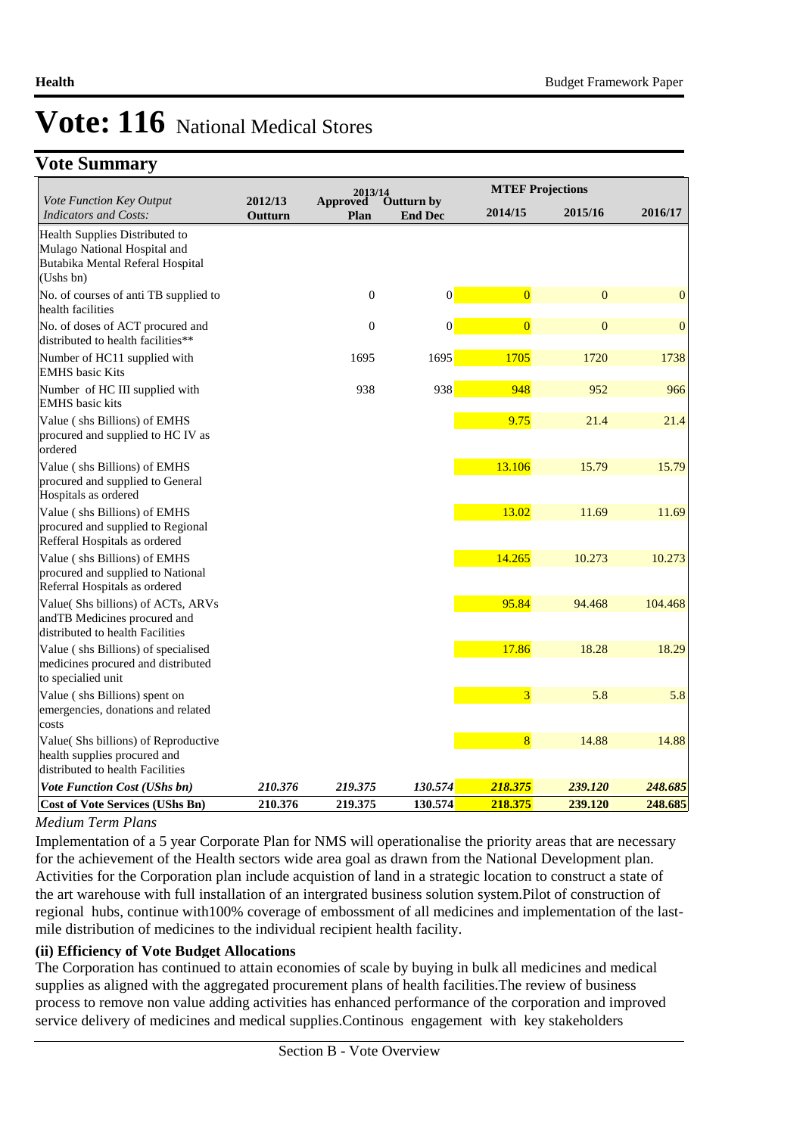## **Vote Summary**

|                                                                                                                 |                    | 2013/14          |                              |                | <b>MTEF Projections</b> |              |  |  |
|-----------------------------------------------------------------------------------------------------------------|--------------------|------------------|------------------------------|----------------|-------------------------|--------------|--|--|
| Vote Function Key Output<br><b>Indicators and Costs:</b>                                                        | 2012/13<br>Outturn | Approved<br>Plan | Outturn by<br><b>End Dec</b> | 2014/15        | 2015/16                 | 2016/17      |  |  |
| Health Supplies Distributed to<br>Mulago National Hospital and<br>Butabika Mental Referal Hospital<br>(Ushs bn) |                    |                  |                              |                |                         |              |  |  |
| No. of courses of anti TB supplied to<br>health facilities                                                      |                    | $\boldsymbol{0}$ | $\vert 0 \vert$              | $\overline{0}$ | $\boldsymbol{0}$        | $\mathbf{0}$ |  |  |
| No. of doses of ACT procured and<br>distributed to health facilities**                                          |                    | $\mathbf{0}$     | $\theta$                     | $\overline{0}$ | $\mathbf{0}$            | $\mathbf{0}$ |  |  |
| Number of HC11 supplied with<br><b>EMHS</b> basic Kits                                                          |                    | 1695             | 1695                         | 1705           | 1720                    | 1738         |  |  |
| Number of HC III supplied with<br><b>EMHS</b> basic kits                                                        |                    | 938              | 938                          | 948            | 952                     | 966          |  |  |
| Value (shs Billions) of EMHS<br>procured and supplied to HC IV as<br>ordered                                    |                    |                  |                              | 9.75           | 21.4                    | 21.4         |  |  |
| Value (shs Billions) of EMHS<br>procured and supplied to General<br>Hospitals as ordered                        |                    |                  |                              | 13.106         | 15.79                   | 15.79        |  |  |
| Value (shs Billions) of EMHS<br>procured and supplied to Regional<br>Refferal Hospitals as ordered              |                    |                  |                              | 13.02          | 11.69                   | 11.69        |  |  |
| Value (shs Billions) of EMHS<br>procured and supplied to National<br>Referral Hospitals as ordered              |                    |                  |                              | 14.265         | 10.273                  | 10.273       |  |  |
| Value(Shs billions) of ACTs, ARVs<br>andTB Medicines procured and<br>distributed to health Facilities           |                    |                  |                              | 95.84          | 94.468                  | 104.468      |  |  |
| Value (shs Billions) of specialised<br>medicines procured and distributed<br>to specialied unit                 |                    |                  |                              | 17.86          | 18.28                   | 18.29        |  |  |
| Value (shs Billions) spent on<br>emergencies, donations and related<br>costs                                    |                    |                  |                              | $\overline{3}$ | 5.8                     | 5.8          |  |  |
| Value(Shs billions) of Reproductive<br>health supplies procured and<br>distributed to health Facilities         |                    |                  |                              | $\overline{8}$ | 14.88                   | 14.88        |  |  |
| Vote Function Cost (UShs bn)                                                                                    | 210.376            | 219.375          | 130.574                      | 218.375        | 239.120                 | 248.685      |  |  |
| <b>Cost of Vote Services (UShs Bn)</b>                                                                          | 210.376            | 219.375          | 130.574                      | 218.375        | 239.120                 | 248.685      |  |  |

#### *Medium Term Plans*

Implementation of a 5 year Corporate Plan for NMS will operationalise the priority areas that are necessary for the achievement of the Health sectors wide area goal as drawn from the National Development plan. Activities for the Corporation plan include acquistion of land in a strategic location to construct a state of the art warehouse with full installation of an intergrated business solution system.Pilot of construction of regional hubs, continue with100% coverage of embossment of all medicines and implementation of the lastmile distribution of medicines to the individual recipient health facility.

#### **(ii) Efficiency of Vote Budget Allocations**

The Corporation has continued to attain economies of scale by buying in bulk all medicines and medical supplies as aligned with the aggregated procurement plans of health facilities.The review of business process to remove non value adding activities has enhanced performance of the corporation and improved service delivery of medicines and medical supplies.Continous engagement with key stakeholders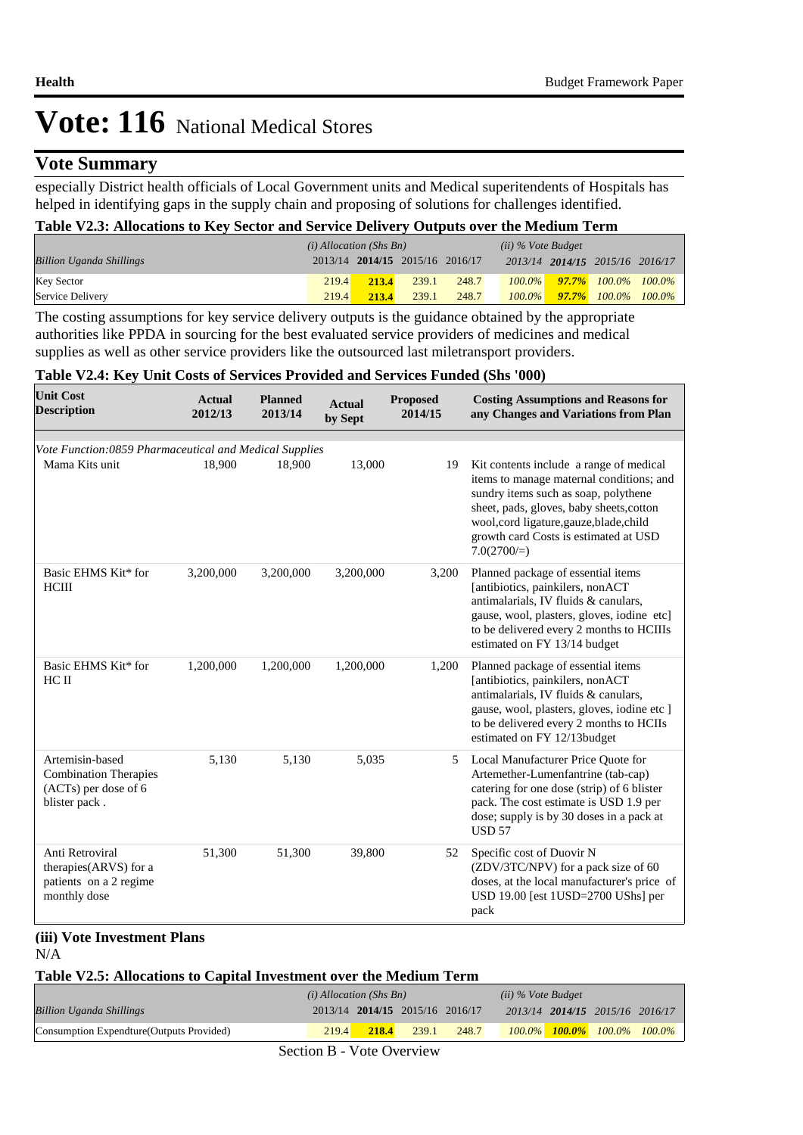### **Vote Summary**

especially District health officials of Local Government units and Medical superitendents of Hospitals has helped in identifying gaps in the supply chain and proposing of solutions for challenges identified.

#### **Table V2.3: Allocations to Key Sector and Service Delivery Outputs over the Medium Term**

|                                 |       | $(i)$ Allocation (Shs Bn) |                                 |       | (ii) % Vote Budget |  |                                     |  |
|---------------------------------|-------|---------------------------|---------------------------------|-------|--------------------|--|-------------------------------------|--|
| <b>Billion Uganda Shillings</b> |       |                           | 2013/14 2014/15 2015/16 2016/17 |       |                    |  | 2013/14 2014/15 2015/16 2016/17     |  |
| Key Sector                      | 219.4 | 213.4                     | 239.1                           | 248.7 |                    |  | $100.0\%$ 97.7% $100.0\%$ $100.0\%$ |  |
| Service Delivery                | 219.4 | 213.4                     | 239.1                           | 248.7 | $100.0\%$          |  | $\frac{97.7\%}{100.0\%}$ 100.0%     |  |

The costing assumptions for key service delivery outputs is the guidance obtained by the appropriate authorities like PPDA in sourcing for the best evaluated service providers of medicines and medical supplies as well as other service providers like the outsourced last miletransport providers.

#### **Table V2.4: Key Unit Costs of Services Provided and Services Funded (Shs '000)**

| <b>Unit Cost</b><br><b>Description</b>                                                   | <b>Actual</b><br>2012/13 | <b>Planned</b><br>2013/14 | <b>Actual</b><br>by Sept | <b>Proposed</b><br>2014/15 | <b>Costing Assumptions and Reasons for</b><br>any Changes and Variations from Plan                                                                                                                                                                                                 |
|------------------------------------------------------------------------------------------|--------------------------|---------------------------|--------------------------|----------------------------|------------------------------------------------------------------------------------------------------------------------------------------------------------------------------------------------------------------------------------------------------------------------------------|
| Vote Function:0859 Pharmaceutical and Medical Supplies                                   |                          |                           |                          |                            |                                                                                                                                                                                                                                                                                    |
| Mama Kits unit                                                                           | 18,900                   | 18,900                    | 13,000                   | 19                         | Kit contents include a range of medical<br>items to manage maternal conditions; and<br>sundry items such as soap, polythene<br>sheet, pads, gloves, baby sheets, cotton<br>wool, cord ligature, gauze, blade, child<br>growth card Costs is estimated at USD<br>$7.0(2700/\equiv)$ |
| Basic EHMS Kit* for<br><b>HCIII</b>                                                      | 3,200,000                | 3,200,000                 | 3,200,000                | 3,200                      | Planned package of essential items<br>[antibiotics, painkilers, nonACT<br>antimalarials, IV fluids & canulars,<br>gause, wool, plasters, gloves, iodine etc]<br>to be delivered every 2 months to HCIIIs<br>estimated on FY 13/14 budget                                           |
| Basic EHMS Kit* for<br>HC II                                                             | 1,200,000                | 1,200,000                 | 1,200,000                | 1,200                      | Planned package of essential items<br>[antibiotics, painkilers, nonACT<br>antimalarials, IV fluids & canulars,<br>gause, wool, plasters, gloves, iodine etc ]<br>to be delivered every 2 months to HCIIs<br>estimated on FY 12/13budget                                            |
| Artemisin-based<br><b>Combination Therapies</b><br>(ACTs) per dose of 6<br>blister pack. | 5,130                    | 5,130                     | 5,035                    | 5                          | Local Manufacturer Price Quote for<br>Artemether-Lumenfantrine (tab-cap)<br>catering for one dose (strip) of 6 blister<br>pack. The cost estimate is USD 1.9 per<br>dose; supply is by 30 doses in a pack at<br><b>USD 57</b>                                                      |
| Anti Retroviral<br>therapies(ARVS) for a<br>patients on a 2 regime<br>monthly dose       | 51,300                   | 51,300                    | 39,800                   | 52                         | Specific cost of Duovir N<br>(ZDV/3TC/NPV) for a pack size of 60<br>doses, at the local manufacturer's price of<br>USD 19.00 [est 1USD=2700 UShs] per<br>pack                                                                                                                      |

#### **(iii) Vote Investment Plans** N/A

#### **Table V2.5: Allocations to Capital Investment over the Medium Term**

|                                           | $(i)$ Allocation (Shs Bn) |                                 |       |       | $(ii)$ % Vote Budget |  |                                         |  |
|-------------------------------------------|---------------------------|---------------------------------|-------|-------|----------------------|--|-----------------------------------------|--|
| <b>Billion Uganda Shillings</b>           |                           | 2013/14 2014/15 2015/16 2016/17 |       |       |                      |  | 2013/14 2014/15 2015/16 2016/17         |  |
| Consumption Expendture (Outputs Provided) | 219.47                    | 218.4                           | 239.1 | 248.7 |                      |  | $100.0\%$ $100.0\%$ $100.0\%$ $100.0\%$ |  |

Section B - Vote Overview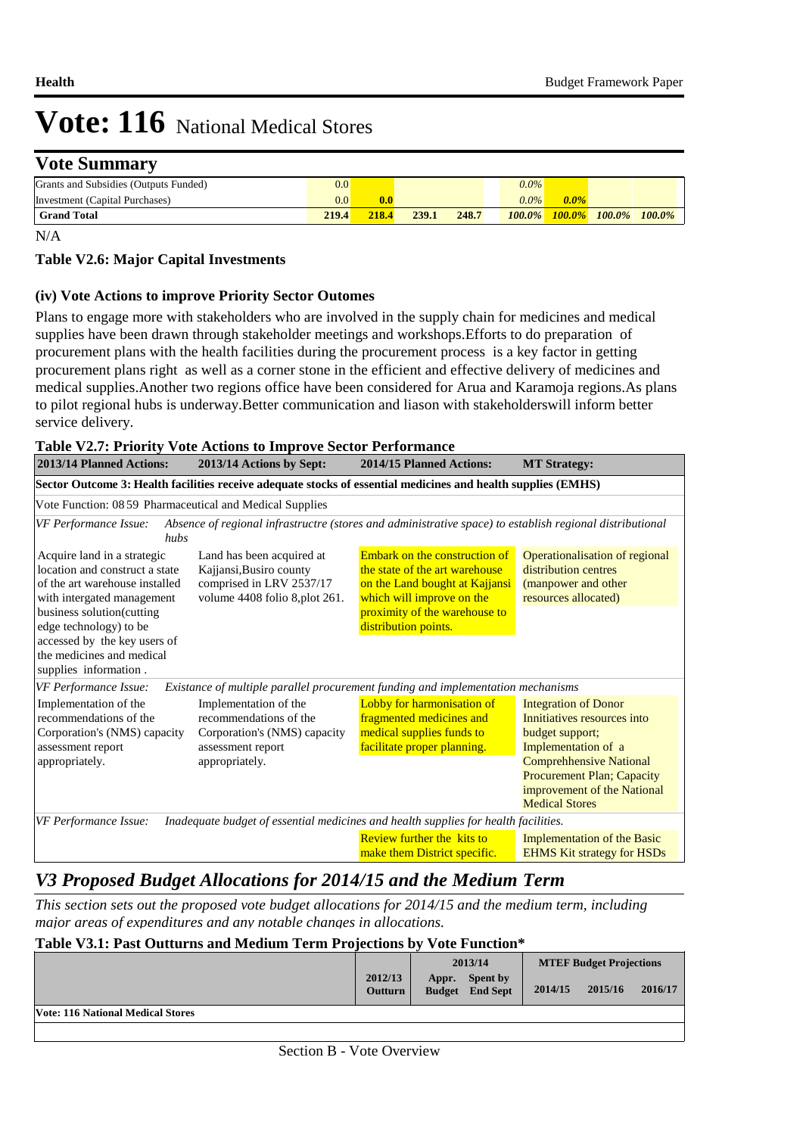### **Vote Summary**

| Grants and Subsidies (Outputs Funded) | $0.0\,$      |       |       |       | $0.0\%$ |         |                                         |  |
|---------------------------------------|--------------|-------|-------|-------|---------|---------|-----------------------------------------|--|
| Investment (Capital Purchases)        | 0.0          | 0.0   |       |       | $0.0\%$ | $0.0\%$ |                                         |  |
| <b>Grand Total</b>                    | <b>219.4</b> | 218.4 | 239.1 | 248.7 |         |         | $100.0\%$ $100.0\%$ $100.0\%$ $100.0\%$ |  |

N/A

#### **Table V2.6: Major Capital Investments**

#### **(iv) Vote Actions to improve Priority Sector Outomes**

Plans to engage more with stakeholders who are involved in the supply chain for medicines and medical supplies have been drawn through stakeholder meetings and workshops.Efforts to do preparation of procurement plans with the health facilities during the procurement process is a key factor in getting procurement plans right as well as a corner stone in the efficient and effective delivery of medicines and medical supplies.Another two regions office have been considered for Arua and Karamoja regions.As plans to pilot regional hubs is underway.Better communication and liason with stakeholderswill inform better service delivery.

#### **Table V2.7: Priority Vote Actions to Improve Sector Performance**

| 2013/14 Planned Actions:                                                                                                                                                                                                                                                   | 2013/14 Actions by Sept:                                                                                           | 2014/15 Planned Actions:                                                                                                                                                                | <b>MT</b> Strategy:                                                                                                                                                                                                                 |  |  |  |  |
|----------------------------------------------------------------------------------------------------------------------------------------------------------------------------------------------------------------------------------------------------------------------------|--------------------------------------------------------------------------------------------------------------------|-----------------------------------------------------------------------------------------------------------------------------------------------------------------------------------------|-------------------------------------------------------------------------------------------------------------------------------------------------------------------------------------------------------------------------------------|--|--|--|--|
| Sector Outcome 3: Health facilities receive adequate stocks of essential medicines and health supplies (EMHS)                                                                                                                                                              |                                                                                                                    |                                                                                                                                                                                         |                                                                                                                                                                                                                                     |  |  |  |  |
| Vote Function: 08 59 Pharmaceutical and Medical Supplies                                                                                                                                                                                                                   |                                                                                                                    |                                                                                                                                                                                         |                                                                                                                                                                                                                                     |  |  |  |  |
| VF Performance Issue:<br>hubs                                                                                                                                                                                                                                              |                                                                                                                    | Absence of regional infrastructre (stores and administrative space) to establish regional distributional                                                                                |                                                                                                                                                                                                                                     |  |  |  |  |
| Acquire land in a strategic<br>location and construct a state<br>of the art warehouse installed<br>with intergated management<br>business solution(cutting<br>edge technology) to be<br>accessed by the key users of<br>the medicines and medical<br>supplies information. | Land has been acquired at<br>Kajjansi, Busiro county<br>comprised in LRV 2537/17<br>volume 4408 folio 8, plot 261. | Embark on the construction of<br>the state of the art warehouse<br>on the Land bought at Kajjansi<br>which will improve on the<br>proximity of the warehouse to<br>distribution points. | Operationalisation of regional<br>distribution centres<br>(manpower and other<br>resources allocated)                                                                                                                               |  |  |  |  |
| VF Performance Issue:                                                                                                                                                                                                                                                      |                                                                                                                    | Existance of multiple parallel procurement funding and implementation mechanisms                                                                                                        |                                                                                                                                                                                                                                     |  |  |  |  |
| Implementation of the<br>Implementation of the<br>recommendations of the<br>recommendations of the<br>Corporation's (NMS) capacity<br>Corporation's (NMS) capacity<br>assessment report<br>assessment report<br>appropriately.<br>appropriately.                           |                                                                                                                    | Lobby for harmonisation of<br>fragmented medicines and<br>medical supplies funds to<br>facilitate proper planning.                                                                      | <b>Integration of Donor</b><br>Innitiatives resources into<br>budget support;<br>Implementation of a<br><b>Comprehhensive National</b><br><b>Procurement Plan; Capacity</b><br>improvement of the National<br><b>Medical Stores</b> |  |  |  |  |
| VF Performance Issue:                                                                                                                                                                                                                                                      | Inadequate budget of essential medicines and health supplies for health facilities.                                |                                                                                                                                                                                         |                                                                                                                                                                                                                                     |  |  |  |  |
|                                                                                                                                                                                                                                                                            |                                                                                                                    | <b>Review further the kits to</b><br>make them District specific.                                                                                                                       | <b>Implementation of the Basic</b><br><b>EHMS Kit strategy for HSDs</b>                                                                                                                                                             |  |  |  |  |

### *V3 Proposed Budget Allocations for 2014/15 and the Medium Term*

*This section sets out the proposed vote budget allocations for 2014/15 and the medium term, including major areas of expenditures and any notable changes in allocations.* 

#### **Table V3.1: Past Outturns and Medium Term Projections by Vote Function\* 2013/14 MTEF Budget Projections**

|                                          | 2012/13<br><b>Outturn</b> | Appr. | Spent by<br><b>Budget</b> End Sept | 2014/15 | 2015/16 | 2016/17 |
|------------------------------------------|---------------------------|-------|------------------------------------|---------|---------|---------|
| <b>Vote: 116 National Medical Stores</b> |                           |       |                                    |         |         |         |
|                                          |                           |       |                                    |         |         |         |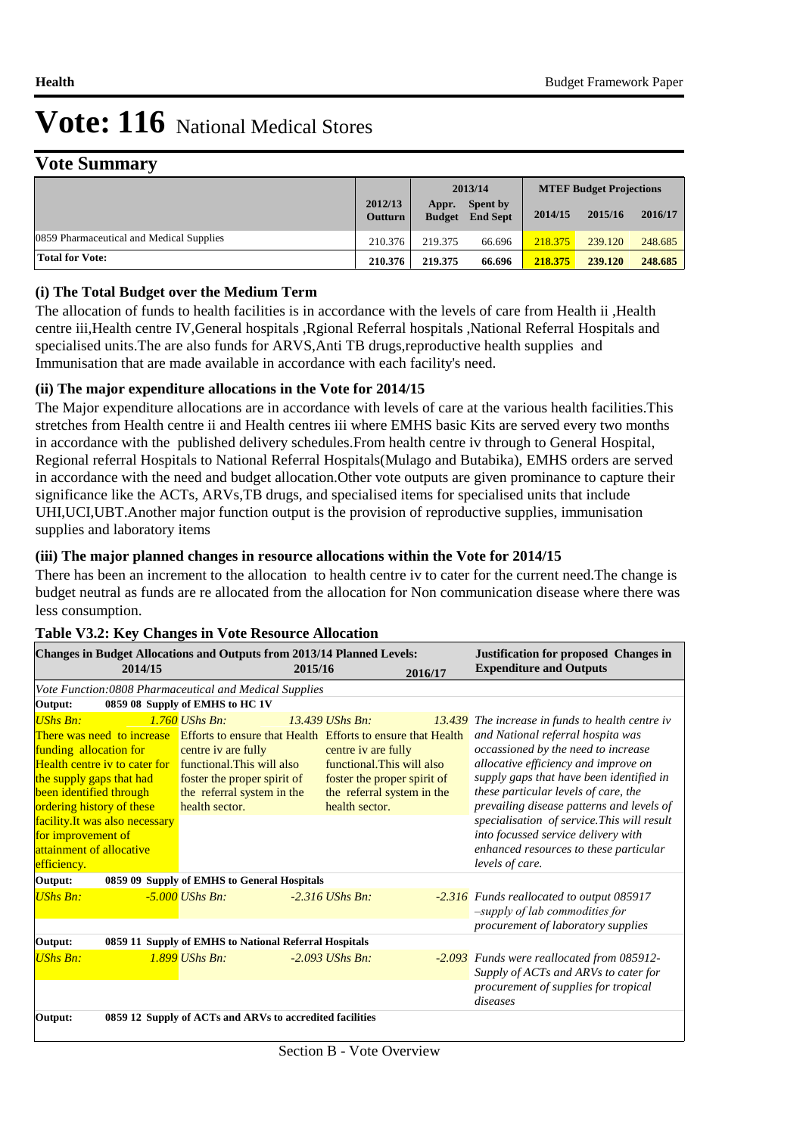### **Vote Summary**

|                                          |                           | 2013/14                |                                    | <b>MTEF Budget Projections</b> |         |         |
|------------------------------------------|---------------------------|------------------------|------------------------------------|--------------------------------|---------|---------|
|                                          | 2012/13<br><b>Outturn</b> | Appr.<br><b>Budget</b> | <b>Spent by</b><br><b>End Sept</b> | 2014/15                        | 2015/16 | 2016/17 |
| 0859 Pharmaceutical and Medical Supplies | 210.376                   | 219.375                | 66.696                             | 218.375                        | 239.120 | 248.685 |
| <b>Total for Vote:</b>                   | 210.376                   | 219.375                | 66.696                             | 218.375                        | 239.120 | 248.685 |

#### **(i) The Total Budget over the Medium Term**

The allocation of funds to health facilities is in accordance with the levels of care from Health ii ,Health centre iii,Health centre IV,General hospitals ,Rgional Referral hospitals ,National Referral Hospitals and specialised units.The are also funds for ARVS,Anti TB drugs,reproductive health supplies and Immunisation that are made available in accordance with each facility's need.

#### **(ii) The major expenditure allocations in the Vote for 2014/15**

The Major expenditure allocations are in accordance with levels of care at the various health facilities.This stretches from Health centre ii and Health centres iii where EMHS basic Kits are served every two months in accordance with the published delivery schedules.From health centre iv through to General Hospital, Regional referral Hospitals to National Referral Hospitals(Mulago and Butabika), EMHS orders are served in accordance with the need and budget allocation.Other vote outputs are given prominance to capture their significance like the ACTs, ARVs,TB drugs, and specialised items for specialised units that include UHI,UCI,UBT.Another major function output is the provision of reproductive supplies, immunisation supplies and laboratory items

#### **(iii) The major planned changes in resource allocations within the Vote for 2014/15**

There has been an increment to the allocation to health centre iv to cater for the current need.The change is budget neutral as funds are re allocated from the allocation for Non communication disease where there was less consumption.

| <b>Changes in Budget Allocations and Outputs from 2013/14 Planned Levels:</b>                                                                                                                                                                                                                                                                                |                                                                                                                                                     |         |                                                                                                                                                      | <b>Justification for proposed Changes in</b> |                                                                                                                                                                                                                                                                                                                                                                                                                                                                 |  |
|--------------------------------------------------------------------------------------------------------------------------------------------------------------------------------------------------------------------------------------------------------------------------------------------------------------------------------------------------------------|-----------------------------------------------------------------------------------------------------------------------------------------------------|---------|------------------------------------------------------------------------------------------------------------------------------------------------------|----------------------------------------------|-----------------------------------------------------------------------------------------------------------------------------------------------------------------------------------------------------------------------------------------------------------------------------------------------------------------------------------------------------------------------------------------------------------------------------------------------------------------|--|
| 2014/15                                                                                                                                                                                                                                                                                                                                                      |                                                                                                                                                     | 2015/16 |                                                                                                                                                      | 2016/17                                      | <b>Expenditure and Outputs</b>                                                                                                                                                                                                                                                                                                                                                                                                                                  |  |
| Vote Function:0808 Pharmaceutical and Medical Supplies                                                                                                                                                                                                                                                                                                       |                                                                                                                                                     |         |                                                                                                                                                      |                                              |                                                                                                                                                                                                                                                                                                                                                                                                                                                                 |  |
| Output:                                                                                                                                                                                                                                                                                                                                                      | 0859 08 Supply of EMHS to HC 1V                                                                                                                     |         |                                                                                                                                                      |                                              |                                                                                                                                                                                                                                                                                                                                                                                                                                                                 |  |
| <b>UShs Bn:</b><br>There was need to increase Efforts to ensure that Health Efforts to ensure that Health<br>funding allocation for<br>Health centre iv to cater for<br>the supply gaps that had<br>been identified through<br>ordering history of these<br>facility. It was also necessary<br>for improvement of<br>attainment of allocative<br>efficiency. | $1.760$ UShs Bn:<br>centre iv are fully<br>functional This will also<br>foster the proper spirit of<br>the referral system in the<br>health sector. |         | $13.439$ UShs Bn:<br>centre iv are fully<br>functional This will also<br>foster the proper spirit of<br>the referral system in the<br>health sector. |                                              | <b>13.439</b> The increase in funds to health centre iv<br>and National referral hospita was<br>occassioned by the need to increase<br>allocative efficiency and improve on<br>supply gaps that have been identified in<br>these particular levels of care, the<br>prevailing disease patterns and levels of<br>specialisation of service. This will result<br>into focussed service delivery with<br>enhanced resources to these particular<br>levels of care. |  |
| Output:                                                                                                                                                                                                                                                                                                                                                      | 0859 09 Supply of EMHS to General Hospitals                                                                                                         |         |                                                                                                                                                      |                                              |                                                                                                                                                                                                                                                                                                                                                                                                                                                                 |  |
| <b>UShs Bn:</b>                                                                                                                                                                                                                                                                                                                                              | $-5,000$ UShs Bn:                                                                                                                                   |         | $-2.316$ UShs Bn:                                                                                                                                    |                                              | -2.316 Funds reallocated to output 085917<br>$-supply$ of lab commodities for<br>procurement of laboratory supplies                                                                                                                                                                                                                                                                                                                                             |  |
| Output:                                                                                                                                                                                                                                                                                                                                                      | 0859 11 Supply of EMHS to National Referral Hospitals                                                                                               |         |                                                                                                                                                      |                                              |                                                                                                                                                                                                                                                                                                                                                                                                                                                                 |  |
| <b>UShs Bn:</b>                                                                                                                                                                                                                                                                                                                                              | 1.899 UShs Bn:                                                                                                                                      |         | $-2.093$ UShs Bn:                                                                                                                                    |                                              | -2.093 Funds were reallocated from 085912-<br>Supply of ACTs and ARVs to cater for<br>procurement of supplies for tropical<br>diseases                                                                                                                                                                                                                                                                                                                          |  |
| Output:                                                                                                                                                                                                                                                                                                                                                      | 0859 12 Supply of ACTs and ARVs to accredited facilities                                                                                            |         |                                                                                                                                                      |                                              |                                                                                                                                                                                                                                                                                                                                                                                                                                                                 |  |

#### **Table V3.2: Key Changes in Vote Resource Allocation**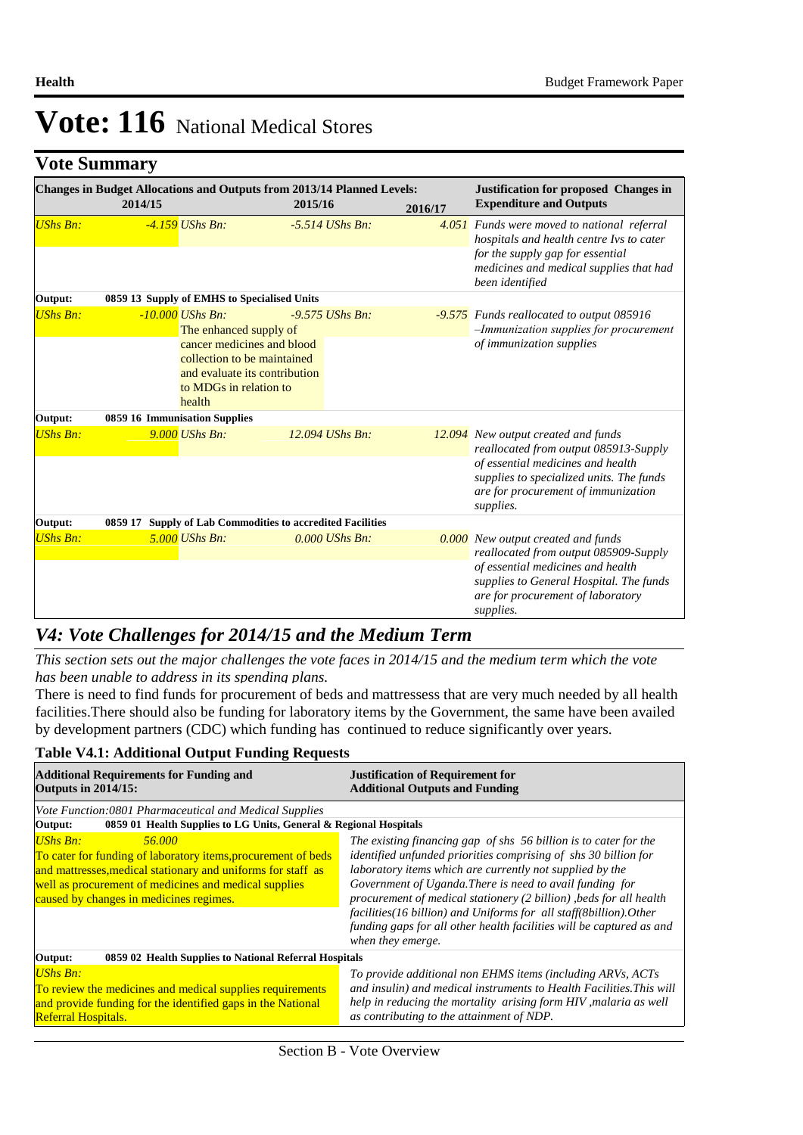## **Vote Summary**

|                 | 2014/15 | <b>Changes in Budget Allocations and Outputs from 2013/14 Planned Levels:</b>                                                  | 2015/16           | 2016/17 | <b>Justification for proposed Changes in</b><br><b>Expenditure and Outputs</b>                                                                                                            |
|-----------------|---------|--------------------------------------------------------------------------------------------------------------------------------|-------------------|---------|-------------------------------------------------------------------------------------------------------------------------------------------------------------------------------------------|
| UShs Bn:        |         | $-4.159$ UShs Bn:                                                                                                              | $-5.514$ UShs Bn: |         | 4.051 Funds were moved to national referral<br>hospitals and health centre Ivs to cater<br>for the supply gap for essential<br>medicines and medical supplies that had<br>been identified |
| Output:         |         | 0859 13 Supply of EMHS to Specialised Units                                                                                    |                   |         |                                                                                                                                                                                           |
| <b>UShs Bn:</b> |         | $-10.000$ UShs Bn:<br>The enhanced supply of                                                                                   | $-9.575$ UShs Bn: |         | <b>-9.575</b> Funds reallocated to output 085916<br>-Immunization supplies for procurement                                                                                                |
|                 |         | cancer medicines and blood<br>collection to be maintained<br>and evaluate its contribution<br>to MDGs in relation to<br>health |                   |         | of immunization supplies                                                                                                                                                                  |
| Output:         |         | 0859 16 Immunisation Supplies                                                                                                  |                   |         |                                                                                                                                                                                           |
| <b>UShs Bn:</b> |         | $9.000$ UShs Bn:                                                                                                               | 12.094 UShs Bn:   |         | 12.094 New output created and funds<br>reallocated from output 085913-Supply                                                                                                              |
|                 |         |                                                                                                                                |                   |         | of essential medicines and health<br>supplies to specialized units. The funds<br>are for procurement of immunization<br>supplies.                                                         |
| Output:         |         | 0859 17 Supply of Lab Commodities to accredited Facilities                                                                     |                   |         |                                                                                                                                                                                           |
| <b>UShs Bn:</b> |         | $5.000$ UShs Bn:                                                                                                               | $0.000$ UShs Bn:  |         | 0.000 New output created and funds<br>reallocated from output 085909-Supply                                                                                                               |
|                 |         |                                                                                                                                |                   |         | of essential medicines and health<br>supplies to General Hospital. The funds<br>are for procurement of laboratory<br>supplies.                                                            |

### *V4: Vote Challenges for 2014/15 and the Medium Term*

*This section sets out the major challenges the vote faces in 2014/15 and the medium term which the vote has been unable to address in its spending plans.*

There is need to find funds for procurement of beds and mattressess that are very much needed by all health facilities.There should also be funding for laboratory items by the Government, the same have been availed by development partners (CDC) which funding has continued to reduce significantly over years.

#### **Table V4.1: Additional Output Funding Requests**

| <b>Additional Requirements for Funding and</b><br><b>Outputs in 2014/15:</b>                                                                                                                                                                                   | <b>Justification of Requirement for</b><br><b>Additional Outputs and Funding</b>                                                                                                                                                                                                                                                                                                                                                                                                                        |  |  |  |  |
|----------------------------------------------------------------------------------------------------------------------------------------------------------------------------------------------------------------------------------------------------------------|---------------------------------------------------------------------------------------------------------------------------------------------------------------------------------------------------------------------------------------------------------------------------------------------------------------------------------------------------------------------------------------------------------------------------------------------------------------------------------------------------------|--|--|--|--|
| Vote Function:0801 Pharmaceutical and Medical Supplies                                                                                                                                                                                                         |                                                                                                                                                                                                                                                                                                                                                                                                                                                                                                         |  |  |  |  |
| 0859 01 Health Supplies to LG Units, General & Regional Hospitals<br>Output:                                                                                                                                                                                   |                                                                                                                                                                                                                                                                                                                                                                                                                                                                                                         |  |  |  |  |
| <b>UShs Bn:</b><br>56.000<br>To cater for funding of laboratory items, procurement of beds<br>and mattresses, medical stationary and uniforms for staff as<br>well as procurement of medicines and medical supplies<br>caused by changes in medicines regimes. | The existing financing gap of shs 56 billion is to cater for the<br>identified unfunded priorities comprising of shs 30 billion for<br>laboratory items which are currently not supplied by the<br>Government of Uganda. There is need to avail funding for<br>procurement of medical stationery (2 billion), beds for all health<br>facilities (16 billion) and Uniforms for all staff (8 billion). Other<br>funding gaps for all other health facilities will be captured as and<br>when they emerge. |  |  |  |  |
| 0859 02 Health Supplies to National Referral Hospitals<br>Output:                                                                                                                                                                                              |                                                                                                                                                                                                                                                                                                                                                                                                                                                                                                         |  |  |  |  |
| <b>UShs Bn:</b><br>To review the medicines and medical supplies requirements<br>and provide funding for the identified gaps in the National<br><b>Referral Hospitals.</b>                                                                                      | To provide additional non EHMS items (including ARVs, ACTs<br>and insulin) and medical instruments to Health Facilities. This will<br>help in reducing the mortality arising form HIV, malaria as well<br>as contributing to the attainment of NDP.                                                                                                                                                                                                                                                     |  |  |  |  |